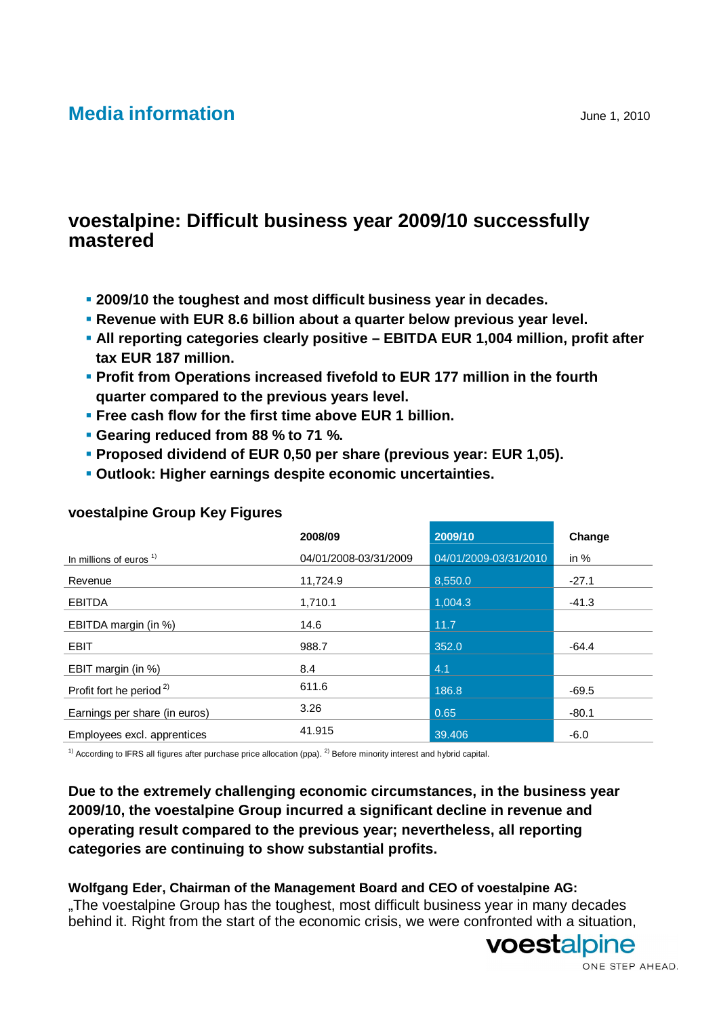# **Media information** June 1, 2010

# **voestalpine: Difficult business year 2009/10 successfully mastered**

- **2009/10 the toughest and most difficult business year in decades.**
- **Revenue with EUR 8.6 billion about a quarter below previous year level.**
- **All reporting categories clearly positive EBITDA EUR 1,004 million, profit after tax EUR 187 million.**
- **Profit from Operations increased fivefold to EUR 177 million in the fourth quarter compared to the previous years level.**
- **Free cash flow for the first time above EUR 1 billion.**
- **Gearing reduced from 88 % to 71 %.**
- **Proposed dividend of EUR 0,50 per share (previous year: EUR 1,05).**
- **Outlook: Higher earnings despite economic uncertainties.**

|                                     | 2008/09               | 2009/10               | Change  |
|-------------------------------------|-----------------------|-----------------------|---------|
| In millions of euros $1$            | 04/01/2008-03/31/2009 | 04/01/2009-03/31/2010 | in $%$  |
| Revenue                             | 11,724.9              | 8,550.0               | $-27.1$ |
| <b>EBITDA</b>                       | 1,710.1               | 1,004.3               | $-41.3$ |
| EBITDA margin (in %)                | 14.6                  | 11.7                  |         |
| <b>EBIT</b>                         | 988.7                 | 352.0                 | $-64.4$ |
| EBIT margin (in %)                  | 8.4                   | 4.1                   |         |
| Profit fort he period <sup>2)</sup> | 611.6                 | 186.8                 | $-69.5$ |
| Earnings per share (in euros)       | 3.26                  | 0.65                  | $-80.1$ |
| Employees excl. apprentices         | 41.915                | 39,406                | $-6.0$  |

# **voestalpine Group Key Figures**

 $1)$  According to IFRS all figures after purchase price allocation (ppa). <sup>2)</sup> Before minority interest and hybrid capital.

# **Due to the extremely challenging economic circumstances, in the business year 2009/10, the voestalpine Group incurred a significant decline in revenue and operating result compared to the previous year; nevertheless, all reporting categories are continuing to show substantial profits.**

#### **Wolfgang Eder, Chairman of the Management Board and CEO of voestalpine AG:**  .The voestalpine Group has the toughest, most difficult business year in many decades

behind it. Right from the start of the economic crisis, we were confronted with a situation,



voestalpine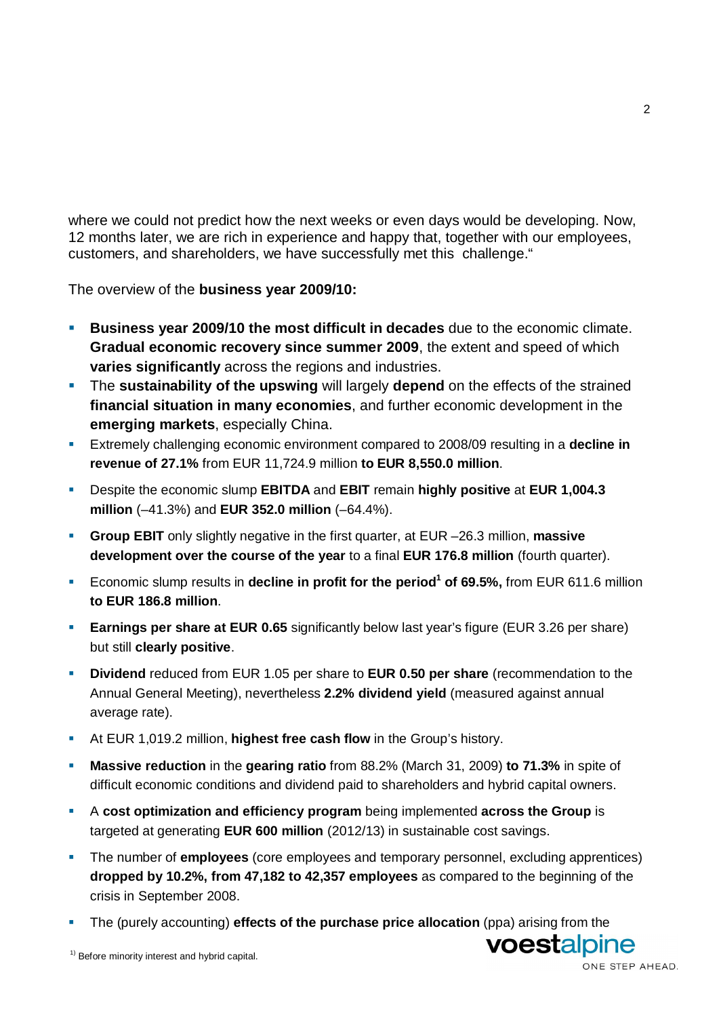where we could not predict how the next weeks or even days would be developing. Now, 12 months later, we are rich in experience and happy that, together with our employees, customers, and shareholders, we have successfully met this challenge."

The overview of the **business year 2009/10:** 

- **Business year 2009/10 the most difficult in decades** due to the economic climate. **Gradual economic recovery since summer 2009**, the extent and speed of which **varies significantly** across the regions and industries.
- The **sustainability of the upswing** will largely **depend** on the effects of the strained **financial situation in many economies**, and further economic development in the **emerging markets**, especially China.
- Extremely challenging economic environment compared to 2008/09 resulting in a **decline in revenue of 27.1%** from EUR 11,724.9 million **to EUR 8,550.0 million**.
- Despite the economic slump **EBITDA** and **EBIT** remain **highly positive** at **EUR 1,004.3 million** (–41.3%) and **EUR 352.0 million** (–64.4%).
- **Group EBIT** only slightly negative in the first quarter, at EUR –26.3 million, **massive development over the course of the year** to a final **EUR 176.8 million** (fourth quarter).
- **Example 1** Economic slump results in **decline in profit for the period<sup>1</sup> of 69.5%**, from EUR 611.6 million **to EUR 186.8 million**.
- **Earnings per share at EUR 0.65** significantly below last year's figure (EUR 3.26 per share) but still **clearly positive**.
- **Dividend** reduced from EUR 1.05 per share to **EUR 0.50 per share** (recommendation to the Annual General Meeting), nevertheless **2.2% dividend yield** (measured against annual average rate).
- At EUR 1,019.2 million, **highest free cash flow** in the Group's history.
- **Massive reduction** in the **gearing ratio** from 88.2% (March 31, 2009) **to 71.3%** in spite of difficult economic conditions and dividend paid to shareholders and hybrid capital owners.
- A **cost optimization and efficiency program** being implemented **across the Group** is targeted at generating **EUR 600 million** (2012/13) in sustainable cost savings.
- The number of **employees** (core employees and temporary personnel, excluding apprentices) **dropped by 10.2%, from 47,182 to 42,357 employees** as compared to the beginning of the crisis in September 2008.
- The (purely accounting) **effects of the purchase price allocation** (ppa) arising from the

voestalpine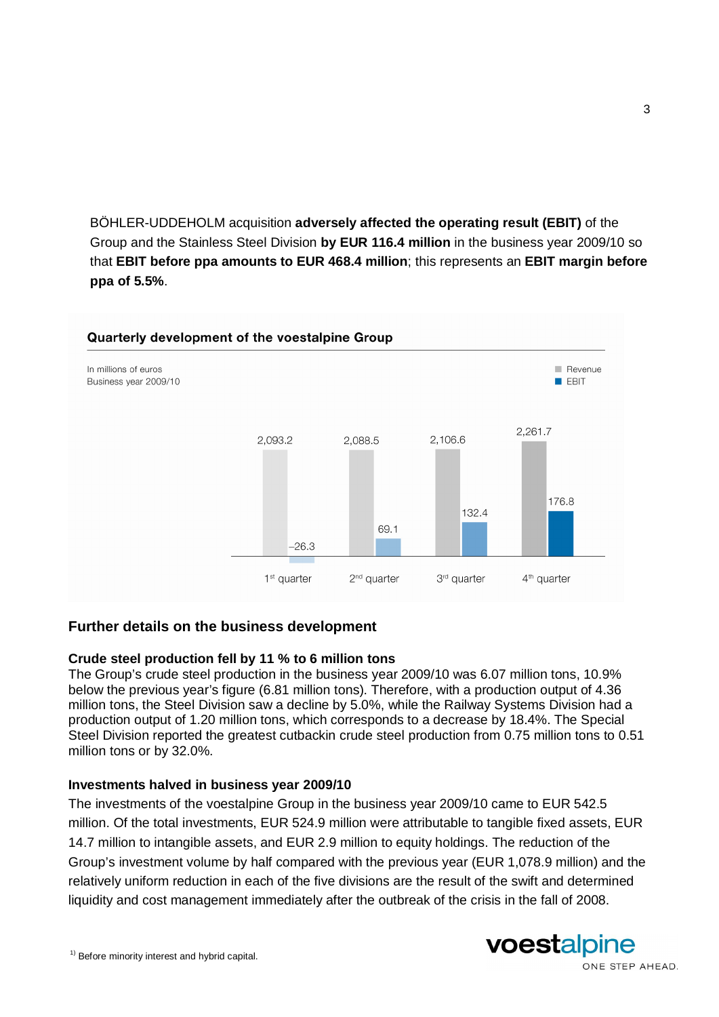BÖHLER-UDDEHOLM acquisition **adversely affected the operating result (EBIT)** of the Group and the Stainless Steel Division **by EUR 116.4 million** in the business year 2009/10 so that **EBIT before ppa amounts to EUR 468.4 million**; this represents an **EBIT margin before ppa of 5.5%**.



# **Further details on the business development**

### **Crude steel production fell by 11 % to 6 million tons**

The Group's crude steel production in the business year 2009/10 was 6.07 million tons, 10.9% below the previous year's figure (6.81 million tons). Therefore, with a production output of 4.36 million tons, the Steel Division saw a decline by 5.0%, while the Railway Systems Division had a production output of 1.20 million tons, which corresponds to a decrease by 18.4%. The Special Steel Division reported the greatest cutbackin crude steel production from 0.75 million tons to 0.51 million tons or by 32.0%.

### **Investments halved in business year 2009/10**

The investments of the voestalpine Group in the business year 2009/10 came to EUR 542.5 million. Of the total investments, EUR 524.9 million were attributable to tangible fixed assets, EUR 14.7 million to intangible assets, and EUR 2.9 million to equity holdings. The reduction of the Group's investment volume by half compared with the previous year (EUR 1,078.9 million) and the relatively uniform reduction in each of the five divisions are the result of the swift and determined liquidity and cost management immediately after the outbreak of the crisis in the fall of 2008.





ONE STEP AHEAD.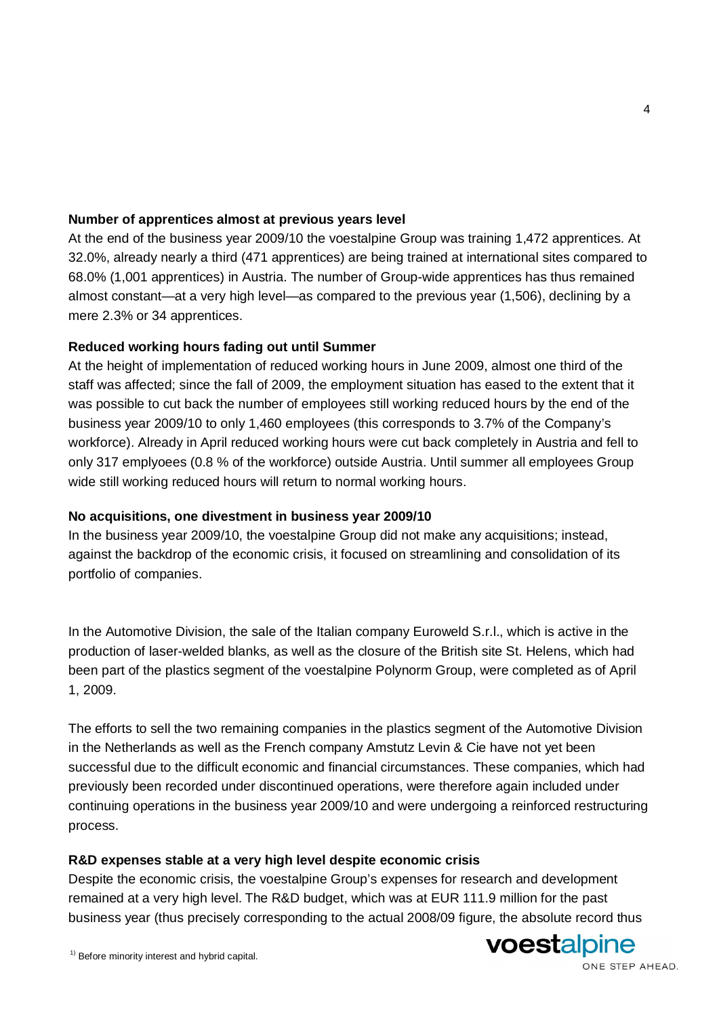# **Number of apprentices almost at previous years level**

At the end of the business year 2009/10 the voestalpine Group was training 1,472 apprentices. At 32.0%, already nearly a third (471 apprentices) are being trained at international sites compared to 68.0% (1,001 apprentices) in Austria. The number of Group-wide apprentices has thus remained almost constant—at a very high level—as compared to the previous year (1,506), declining by a mere 2.3% or 34 apprentices.

## **Reduced working hours fading out until Summer**

At the height of implementation of reduced working hours in June 2009, almost one third of the staff was affected; since the fall of 2009, the employment situation has eased to the extent that it was possible to cut back the number of employees still working reduced hours by the end of the business year 2009/10 to only 1,460 employees (this corresponds to 3.7% of the Company's workforce). Already in April reduced working hours were cut back completely in Austria and fell to only 317 emplyoees (0.8 % of the workforce) outside Austria. Until summer all employees Group wide still working reduced hours will return to normal working hours.

### **No acquisitions, one divestment in business year 2009/10**

In the business year 2009/10, the voestalpine Group did not make any acquisitions; instead, against the backdrop of the economic crisis, it focused on streamlining and consolidation of its portfolio of companies.

In the Automotive Division, the sale of the Italian company Euroweld S.r.l., which is active in the production of laser-welded blanks, as well as the closure of the British site St. Helens, which had been part of the plastics segment of the voestalpine Polynorm Group, were completed as of April 1, 2009.

The efforts to sell the two remaining companies in the plastics segment of the Automotive Division in the Netherlands as well as the French company Amstutz Levin & Cie have not yet been successful due to the difficult economic and financial circumstances. These companies, which had previously been recorded under discontinued operations, were therefore again included under continuing operations in the business year 2009/10 and were undergoing a reinforced restructuring process.

### **R&D expenses stable at a very high level despite economic crisis**

Despite the economic crisis, the voestalpine Group's expenses for research and development remained at a very high level. The R&D budget, which was at EUR 111.9 million for the past business year (thus precisely corresponding to the actual 2008/09 figure, the absolute record thus



#### ONE STEP AHEAD.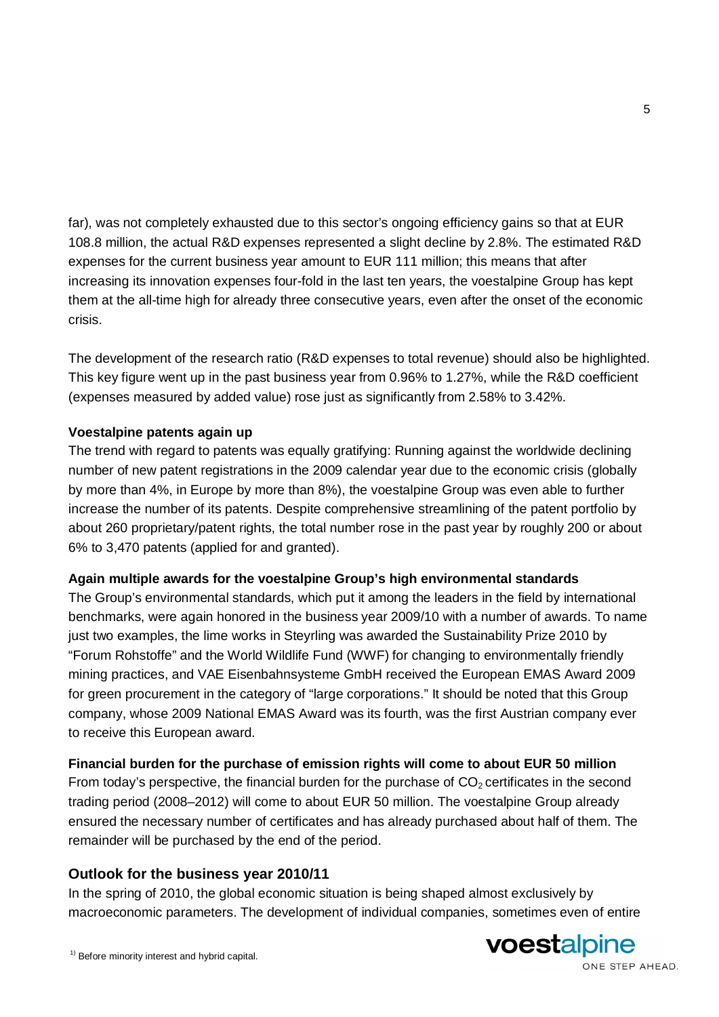far), was not completely exhausted due to this sector's ongoing efficiency gains so that at EUR 108.8 million, the actual R&D expenses represented a slight decline by 2.8%. The estimated R&D expenses for the current business year amount to EUR 111 million; this means that after increasing its innovation expenses four-fold in the last ten years, the voestalpine Group has kept them at the all-time high for already three consecutive years, even after the onset of the economic crisis.

The development of the research ratio (R&D expenses to total revenue) should also be highlighted. This key figure went up in the past business year from 0.96% to 1.27%, while the R&D coefficient (expenses measured by added value) rose just as significantly from 2.58% to 3.42%.

# **Voestalpine patents again up**

The trend with regard to patents was equally gratifying: Running against the worldwide declining number of new patent registrations in the 2009 calendar year due to the economic crisis (globally by more than 4%, in Europe by more than 8%), the voestalpine Group was even able to further increase the number of its patents. Despite comprehensive streamlining of the patent portfolio by about 260 proprietary/patent rights, the total number rose in the past year by roughly 200 or about 6% to 3,470 patents (applied for and granted).

### **Again multiple awards for the voestalpine Group's high environmental standards**

The Group's environmental standards, which put it among the leaders in the field by international benchmarks, were again honored in the business year 2009/10 with a number of awards. To name just two examples, the lime works in Steyrling was awarded the Sustainability Prize 2010 by "Forum Rohstoffe" and the World Wildlife Fund (WWF) for changing to environmentally friendly mining practices, and VAE Eisenbahnsysteme GmbH received the European EMAS Award 2009 for green procurement in the category of "large corporations." It should be noted that this Group company, whose 2009 National EMAS Award was its fourth, was the first Austrian company ever to receive this European award.

### **Financial burden for the purchase of emission rights will come to about EUR 50 million**

From today's perspective, the financial burden for the purchase of  $CO<sub>2</sub>$  certificates in the second trading period (2008–2012) will come to about EUR 50 million. The voestalpine Group already ensured the necessary number of certificates and has already purchased about half of them. The remainder will be purchased by the end of the period.

# **Outlook for the business year 2010/11**

In the spring of 2010, the global economic situation is being shaped almost exclusively by macroeconomic parameters. The development of individual companies, sometimes even of entire

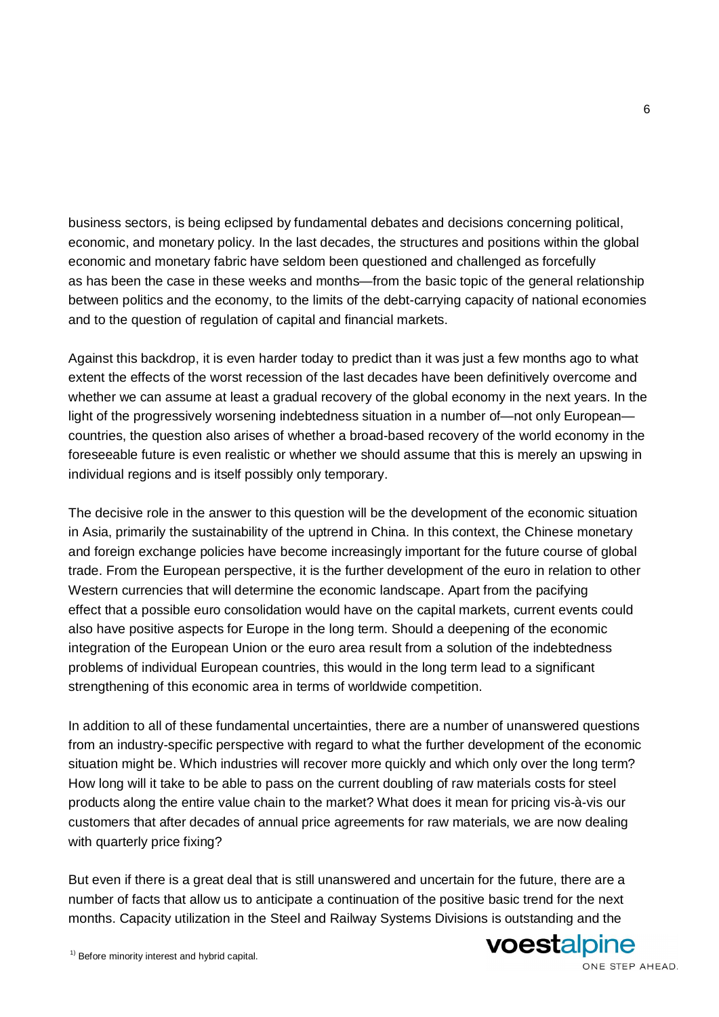business sectors, is being eclipsed by fundamental debates and decisions concerning political, economic, and monetary policy. In the last decades, the structures and positions within the global economic and monetary fabric have seldom been questioned and challenged as forcefully as has been the case in these weeks and months—from the basic topic of the general relationship between politics and the economy, to the limits of the debt-carrying capacity of national economies and to the question of regulation of capital and financial markets.

Against this backdrop, it is even harder today to predict than it was just a few months ago to what extent the effects of the worst recession of the last decades have been definitively overcome and whether we can assume at least a gradual recovery of the global economy in the next years. In the light of the progressively worsening indebtedness situation in a number of—not only European countries, the question also arises of whether a broad-based recovery of the world economy in the foreseeable future is even realistic or whether we should assume that this is merely an upswing in individual regions and is itself possibly only temporary.

The decisive role in the answer to this question will be the development of the economic situation in Asia, primarily the sustainability of the uptrend in China. In this context, the Chinese monetary and foreign exchange policies have become increasingly important for the future course of global trade. From the European perspective, it is the further development of the euro in relation to other Western currencies that will determine the economic landscape. Apart from the pacifying effect that a possible euro consolidation would have on the capital markets, current events could also have positive aspects for Europe in the long term. Should a deepening of the economic integration of the European Union or the euro area result from a solution of the indebtedness problems of individual European countries, this would in the long term lead to a significant strengthening of this economic area in terms of worldwide competition.

In addition to all of these fundamental uncertainties, there are a number of unanswered questions from an industry-specific perspective with regard to what the further development of the economic situation might be. Which industries will recover more quickly and which only over the long term? How long will it take to be able to pass on the current doubling of raw materials costs for steel products along the entire value chain to the market? What does it mean for pricing vis-à-vis our customers that after decades of annual price agreements for raw materials, we are now dealing with quarterly price fixing?

But even if there is a great deal that is still unanswered and uncertain for the future, there are a number of facts that allow us to anticipate a continuation of the positive basic trend for the next months. Capacity utilization in the Steel and Railway Systems Divisions is outstanding and the